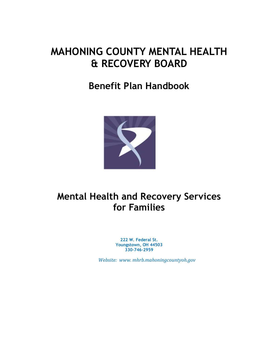# **MAHONING COUNTY MENTAL HEALTH & RECOVERY BOARD**

# **Benefit Plan Handbook**



# **Mental Health and Recovery Services for Families**

**222 W. Federal St. Youngstown, OH 44503 330-746-2959**

 *Website: www. mhrb.mahoningcountyoh.gov*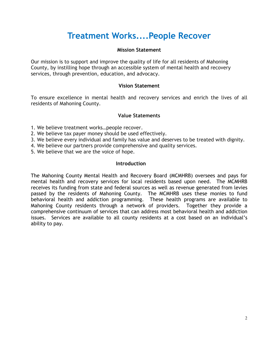# **Treatment Works....People Recover**

#### **Mission Statement**

Our mission is to support and improve the quality of life for all residents of Mahoning County, by instilling hope through an accessible system of mental health and recovery services, through prevention, education, and advocacy.

#### **Vision Statement**

To ensure excellence in mental health and recovery services and enrich the lives of all residents of Mahoning County.

### **Value Statements**

- 1. We believe treatment works…people recover.
- 2. We believe tax payer money should be used effectively.
- 3. We believe every individual and family has value and deserves to be treated with dignity.
- 4. We believe our partners provide comprehensive and quality services.
- 5. We believe that we are the voice of hope.

#### **Introduction**

The Mahoning County Mental Health and Recovery Board (MCMHRB) oversees and pays for mental health and recovery services for local residents based upon need. The MCMHRB receives its funding from state and federal sources as well as revenue generated from levies passed by the residents of Mahoning County. The MCMHRB uses these monies to fund behavioral health and addiction programming. These health programs are available to Mahoning County residents through a network of providers. Together they provide a comprehensive continuum of services that can address most behavioral health and addiction issues. Services are available to all county residents at a cost based on an individual's ability to pay.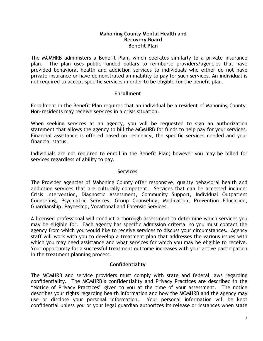#### **Mahoning County Mental Health and Recovery Board Benefit Plan**

The MCMHRB administers a Benefit Plan, which operates similarly to a private insurance plan. The plan uses public funded dollars to reimburse providers/agencies that have provided behavioral health and addiction services to individuals who either do not have private insurance or have demonstrated an inability to pay for such services. An individual is not required to accept specific services in order to be eligible for the benefit plan.

### **Enrollment**

Enrollment in the Benefit Plan requires that an individual be a resident of Mahoning County. Non-residents may receive services in a crisis situation.

When seeking services at an agency, you will be requested to sign an authorization statement that allows the agency to bill the MCMHRB for funds to help pay for your services. Financial assistance is offered based on residency, the specific services needed and your financial status.

Individuals are not required to enroll in the Benefit Plan; however you may be billed for services regardless of ability to pay.

#### **Services**

The Provider agencies of Mahoning County offer responsive, quality behavioral health and addiction services that are culturally competent. Services that can be accessed include: Crisis Intervention, Diagnostic Assessment, Community Support, Individual Outpatient Counseling, Psychiatric Services, Group Counseling, Medication, Prevention Education, Guardianship, Payeeship, Vocational and Forensic Services.

A licensed professional will conduct a thorough assessment to determine which services you may be eligible for. Each agency has specific admission criteria, so you must contact the agency from which you would like to receive services to discuss your circumstances. Agency staff will work with you to develop a treatment plan that addresses the various issues with which you may need assistance and what services for which you may be eligible to receive. Your opportunity for a successful treatment outcome increases with your active participation in the treatment planning process.

## **Confidentiality**

The MCMHRB and service providers must comply with state and federal laws regarding confidentiality. The MCMHRB's confidentiality and Privacy Practices are described in the "Notice of Privacy Practices" given to you at the time of your assessment. The notice describes your rights regarding health information and how the MCMHRB and the agency may use or disclose your personal information. Your personal information will be kept confidential unless you or your legal guardian authorizes its release or instances when state